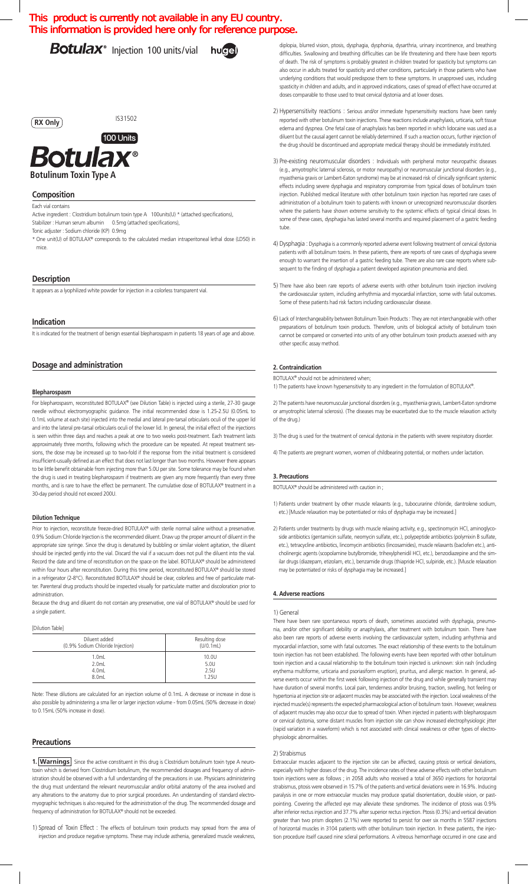# This product is currently not available in any EU country. This information is provided here only for reference purpose.

Botulax<sup>®</sup> Injection 100 units/vial hugel

# **RX Only**

IS31502



**Botulinum Toxin Type A**

# **Composition**

Each vial contains

Active ingredient : Clostridium botulinum toxin type A 100units(U) \* (attached specifications), Stabilizer : Human serum albumin 0.5mg (attached specifications),

Tonic adjuster : Sodium chloride (KP) 0.9mg

\* One unit(U) of BOTULAX® corresponds to the calculated median intraperitoneal lethal dose (LD50) in mice.

# **Description**

It appears as a lyophilized white powder for injection in a colorless transparent vial.

# **Indication**

It is indicated for the treatment of benign essential blepharospasm in patients 18 years of age and above.

# **Dosage and administration**

#### **Blepharospasm**

For blepharospasm, reconstituted BOTULAX® (see Dilution Table) is injected using a sterile, 27-30 gauge needle without electromyographic guidance. The initial recommended dose is 1.25-2.5U (0.05mL to 0.1mL volume at each site) injected into the medial and lateral pre-tarsal orbicularis oculi of the upper lid and into the lateral pre-tarsal orbicularis oculi of the lower lid. In general, the initial effect of the injections is seen within three days and reaches a peak at one to two weeks post-treatment. Each treatment lasts approximately three months, following which the procedure can be repeated. At repeat treatment sessions, the dose may be increased up to two-fold if the response from the initial treatment is considered insufficient-usually defined as an effect that does not last longer than two months. However there appears to be little benefit obtainable from injecting more than 5.0U per site. Some tolerance may be found when the drug is used in treating blepharospasm if treatments are given any more frequently than every three months, and is rare to have the effect be permanent. The cumulative dose of BOTULAX® treatment in a 30-day period should not exceed 200U.

#### **Dilution Technique**

Prior to injection, reconstitute freeze-dried BOTULAX® with sterile normal saline without a preservative. 0.9% Sodium Chloride Injection is the recommended diluent. Draw up the proper amount of diluent in the appropriate size syringe. Since the drug is denatured by bubbling or similar violent agitation, the diluent should be injected gently into the vial. Discard the vial if a vacuum does not pull the diluent into the vial. Record the date and time of reconstitution on the space on the label. BOTULAX® should be administered within four hours after reconstitution. During this time period, reconstituted BOTULAX® should be stored in a refrigerator (2-8°C). Reconstituted BOTULAX® should be clear, colorless and free of particulate matter. Parenteral drug products should be inspected visually for particulate matter and discoloration prior to administration.

Because the drug and diluent do not contain any preservative, one vial of BOTULAX® should be used for a single patient.

[Dilution Table]

| Diluent added                    | Resulting dose |
|----------------------------------|----------------|
| (0.9% Sodium Chloride Injection) | (U/0.1mL)      |
| $1.0m$ L                         | 10.0U          |
| $2.0m$ L                         | 5.0U           |
| $4.0m$ L                         | 2.5U           |
| 8.0mL                            | 1.25U          |

Note: These dilutions are calculated for an injection volume of 0.1mL. A decrease or increase in dose is also possible by administering a sma ller or larger injection volume - from 0.05mL (50% decrease in dose) to 0.15mL (50% increase in dose).

# **Precautions**

1. **Warnings** Since the active constituent in this drug is Clostridium botulinum toxin type A neurotoxin which is derived from Clostridium botulinum, the recommended dosages and frequency of administration should be observed with a full understanding of the precautions in use. Physicians administering the drug must understand the relevant neuromuscular and/or orbital anatomy of the area involved and any alterations to the anatomy due to prior surgical procedures. An understanding of standard electromyographic techniques is also required for the administration of the drug. The recommended dosage and frequency of administration for BOTULAX® should not be exceeded.

1) Spread of Toxin Effect : The effects of botulinum toxin products may spread from the area of injection and produce negative symptoms. These may include asthenia, generalized muscle weakness,

diplopia, blurred vision, ptosis, dysphagia, dysphonia, dysarthria, urinary incontinence, and breathing difficulties. Swallowing and breathing difficulties can be life threatening and there have been reports of death. The risk of symptoms is probably greatest in children treated for spasticity but symptoms can also occur in adults treated for spasticity and other conditions, particularly in those patients who have underlying conditions that would predispose them to these symptoms. In unapproved uses, including spasticity in children and adults, and in approved indications, cases of spread of effect have occurred at doses comparable to those used to treat cervical dystonia and at lower doses.

- 2) Hypersensitivity reactions : Serious and/or immediate hypersensitivity reactions have been rarely reported with other botulinum toxin injections. These reactions include anaphylaxis, urticaria, soft tissue edema and dyspnea. One fetal case of anaphylaxis has been reported in which lidocaine was used as a diluent but the causal agent cannot be reliably determined. If such a reaction occurs, further injection of the drug should be discontinued and appropriate medical therapy should be immediately instituted.
- 3) Pre-existing neuromuscular disorders : Individuals with peripheral motor neuropathic diseases (e.g., amyotrophic laternal sclerosis, or motor neuropathy) or neuromuscular junctional disorders (e.g., myasthenia gravis or Lambert-Eaton syndrome) may be at increased risk of clinically significant systemic effects including severe dysphagia and respiratory compromise from typical doses of botulinum toxin injection. Published medical literature with other botulinum toxin injection has reported rare cases of administration of a botulinum toxin to patients with known or unrecognized neuromuscular disorders where the patients have shown extreme sensitivity to the systemic effects of typical clinical doses. In some of these cases, dysphagia has lasted several months and required placement of a gastric feeding tube.
- 4) Dysphagia : Dysphagia is a commonly reported adverse event following treatment of cervical dystonia patients with all botulinum toxins. In these patients, there are reports of rare cases of dysphagia severe enough to warrant the insertion of a gastric feeding tube. There are also rare case reports where subsequent to the finding of dysphagia a patient developed aspiration pneumonia and died.
- 5)There have also been rare reports of adverse events with other botulinum toxin injection involving the cardiovascular system, including arrhythmia and myocardial infarction, some with fatal outcomes. Some of these patients had risk factors including cardiovascular disease
- 6)Lack of Interchangeability between Botulinum Toxin Products : They are not interchangeable with other preparations of botulinum toxin products. Therefore, units of biological activity of botulinum toxin cannot be compared or converted into units of any other botulinum toxin products assessed with any other specific assay method.

# **2. Contraindication**

BOTULAX® should not be administered when; 1) The patients have known hypersensitivity to any ingredient in the formulation of BOTULAX®.

2) The patients have neuromuscular junctional disorders(e.g., myasthenia gravis, Lambert-Eaton syndrome or amyotrophic laternal sclerosis). (The diseases may be exacerbated due to the muscle relaxation activity of the drug.)

3) The drug is used for the treatment of cervical dystonia in the patients with severe respiratory disorder.

4) The patients are pregnant women, women of childbearing potential, or mothers under lactation.

### **3. Precautions**

BOTULAX® should be administered with caution in ;

- 1) Patients under treatment by other muscle relaxants (e.g., tubocurarine chloride, dantrolene sodium, etc.) [Muscle relaxation may be potentiated or risks of dysphagia may be increased.]
- 2) Patients under treatments by drugs with muscle relaxing activity, e.g., spectinomycin HCl, aminoglycoside antibiotics (gentamicin sulfate, neomycin sulfate, etc.), polypeptide antibiotics (polymixin B sulfate, etc.), tetracycline antibiotics, lincomycin antibiotics (lincosamides), muscle relaxants (baclofen etc.), anticholinergic agents (scopolamine butylbromide, trihexylphenidil HCl, etc.), benzodiazepine and the similar drugs (diazepam, etizolam, etc.), benzamide drugs (thiapride HCl, sulpiride, etc.). [Muscle relaxation may be potentiated or risks of dysphagia may be increased.]

### **4. Adverse reactions**

#### 1) General

There have been rare spontaneous reports of death, sometimes associated with dysphagia, pneumonia, and/or other significant debility or anaphylaxis, after treatment with botulinum toxin. There have also been rare reports of adverse events involving the cardiovascular system, including arrhythmia and myocardial infarction, some with fatal outcomes. The exact relationship of these events to the botulinum toxin injection has not been established. The following events have been reported with other botulinum toxin injection and a causal relationship to the botulinum toxin injected is unknown: skin rash (including erythema multiforme, urticaria and psoriasiform eruption), pruritus, and allergic reaction. In general, adverse events occur within the first week following injection of the drug and while generally transient may have duration of several months. Local pain, tenderness and/or bruising, traction, swelling, hot feeling or hypertonia at injection site or adjacent muscles may be associated with the injection. Local weakness of the injected muscle(s) represents the expected pharmacological action of botulinum toxin. However, weakness of adjacent muscles may also occur due to spread of toxin. When injected in patients with blepharospasm or cervical dystonia, some distant muscles from injection site can show increased electrophysiologic jitter (rapid variation in a waveform) which is not associated with clinical weakness or other types of electrophysiologic abnormalities.

### 2) Strabismus

Extraocular muscles adjacent to the injection site can be affected, causing ptosis or vertical deviations, especially with higher doses of the drug. The incidence rates of these adverse effects with other botulinum toxin injections were as follows ; in 2058 adults who received a total of 3650 injections for horizontal strabismus, ptosis were observed in 15.7% of the patients and vertical deviations were in 16.9%. Inducing paralysis in one or more extraocular muscles may produce spatial disorientation, double vision, or pastpointing. Covering the affected eye may alleviate these syndromes. The incidence of ptosis was 0.9% after inferior rectus injection and 37.7% after superior rectus injection. Ptosis (0.3%) and vertical deviation greater than two prism diopters (2.1%) were reported to persist for over six months in 5587 injections of horizontal muscles in 3104 patients with other botulinum toxin injection. In these patients, the injection procedure itself caused nine scleral performations. A vitreous hemorrhage occurred in one case and